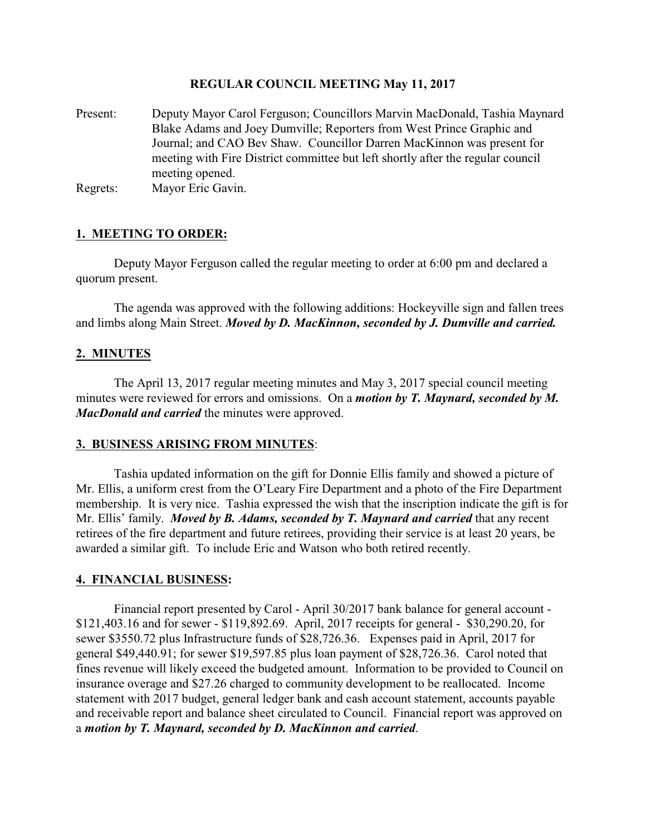## **REGULAR COUNCIL MEETING May 11, 2017**

- Present: Deputy Mayor Carol Ferguson; Councillors Marvin MacDonald, Tashia Maynard Blake Adams and Joey Dumville; Reporters from West Prince Graphic and Journal; and CAO Bev Shaw. Councillor Darren MacKinnon was present for meeting with Fire District committee but left shortly after the regular council meeting opened.
- Regrets: Mayor Eric Gavin.

## **1. MEETING TO ORDER:**

Deputy Mayor Ferguson called the regular meeting to order at 6:00 pm and declared a quorum present.

The agenda was approved with the following additions: Hockeyville sign and fallen trees and limbs along Main Street. *Moved by D. MacKinnon, seconded by J. Dumville and carried.*

## **2. MINUTES**

The April 13, 2017 regular meeting minutes and May 3, 2017 special council meeting minutes were reviewed for errors and omissions. On a *motion by T. Maynard, seconded by M. MacDonald and carried* the minutes were approved.

## **3. BUSINESS ARISING FROM MINUTES**:

Tashia updated information on the gift for Donnie Ellis family and showed a picture of Mr. Ellis, a uniform crest from the O'Leary Fire Department and a photo of the Fire Department membership. It is very nice. Tashia expressed the wish that the inscription indicate the gift is for Mr. Ellis' family. *Moved by B. Adams, seconded by T. Maynard and carried* that any recent retirees of the fire department and future retirees, providing their service is at least 20 years, be awarded a similar gift. To include Eric and Watson who both retired recently.

## **4. FINANCIAL BUSINESS:**

Financial report presented by Carol - April 30/2017 bank balance for general account - \$121,403.16 and for sewer - \$119,892.69. April, 2017 receipts for general - \$30,290.20, for sewer \$3550.72 plus Infrastructure funds of \$28,726.36. Expenses paid in April, 2017 for general \$49,440.91; for sewer \$19,597.85 plus loan payment of \$28,726.36. Carol noted that fines revenue will likely exceed the budgeted amount. Information to be provided to Council on insurance overage and \$27.26 charged to community development to be reallocated. Income statement with 2017 budget, general ledger bank and cash account statement, accounts payable and receivable report and balance sheet circulated to Council. Financial report was approved on a *motion by T. Maynard, seconded by D. MacKinnon and carried*.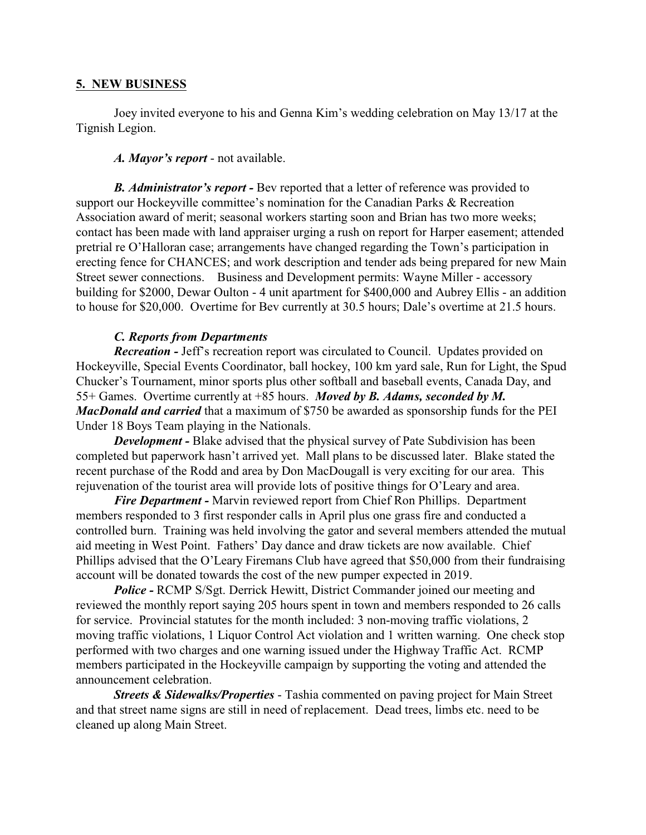## **5. NEW BUSINESS**

Joey invited everyone to his and Genna Kim's wedding celebration on May 13/17 at the Tignish Legion.

*A. Mayor's report* - not available.

*B. Administrator's report -* Bev reported that a letter of reference was provided to support our Hockeyville committee's nomination for the Canadian Parks & Recreation Association award of merit; seasonal workers starting soon and Brian has two more weeks; contact has been made with land appraiser urging a rush on report for Harper easement; attended pretrial re O'Halloran case; arrangements have changed regarding the Town's participation in erecting fence for CHANCES; and work description and tender ads being prepared for new Main Street sewer connections. Business and Development permits: Wayne Miller - accessory building for \$2000, Dewar Oulton - 4 unit apartment for \$400,000 and Aubrey Ellis - an addition to house for \$20,000. Overtime for Bev currently at 30.5 hours; Dale's overtime at 21.5 hours.

## *C. Reports from Departments*

*Recreation -* Jeff's recreation report was circulated to Council. Updates provided on Hockeyville, Special Events Coordinator, ball hockey, 100 km yard sale, Run for Light, the Spud Chucker's Tournament, minor sports plus other softball and baseball events, Canada Day, and 55+ Games. Overtime currently at +85 hours. *Moved by B. Adams, seconded by M. MacDonald and carried* that a maximum of \$750 be awarded as sponsorship funds for the PEI Under 18 Boys Team playing in the Nationals.

*Development -* Blake advised that the physical survey of Pate Subdivision has been completed but paperwork hasn't arrived yet. Mall plans to be discussed later. Blake stated the recent purchase of the Rodd and area by Don MacDougall is very exciting for our area. This rejuvenation of the tourist area will provide lots of positive things for O'Leary and area.

*Fire Department -* Marvin reviewed report from Chief Ron Phillips. Department members responded to 3 first responder calls in April plus one grass fire and conducted a controlled burn. Training was held involving the gator and several members attended the mutual aid meeting in West Point. Fathers' Day dance and draw tickets are now available. Chief Phillips advised that the O'Leary Firemans Club have agreed that \$50,000 from their fundraising account will be donated towards the cost of the new pumper expected in 2019.

*Police -* RCMP S/Sgt. Derrick Hewitt, District Commander joined our meeting and reviewed the monthly report saying 205 hours spent in town and members responded to 26 calls for service. Provincial statutes for the month included: 3 non-moving traffic violations, 2 moving traffic violations, 1 Liquor Control Act violation and 1 written warning. One check stop performed with two charges and one warning issued under the Highway Traffic Act. RCMP members participated in the Hockeyville campaign by supporting the voting and attended the announcement celebration.

*Streets & Sidewalks/Properties* - Tashia commented on paving project for Main Street and that street name signs are still in need of replacement. Dead trees, limbs etc. need to be cleaned up along Main Street.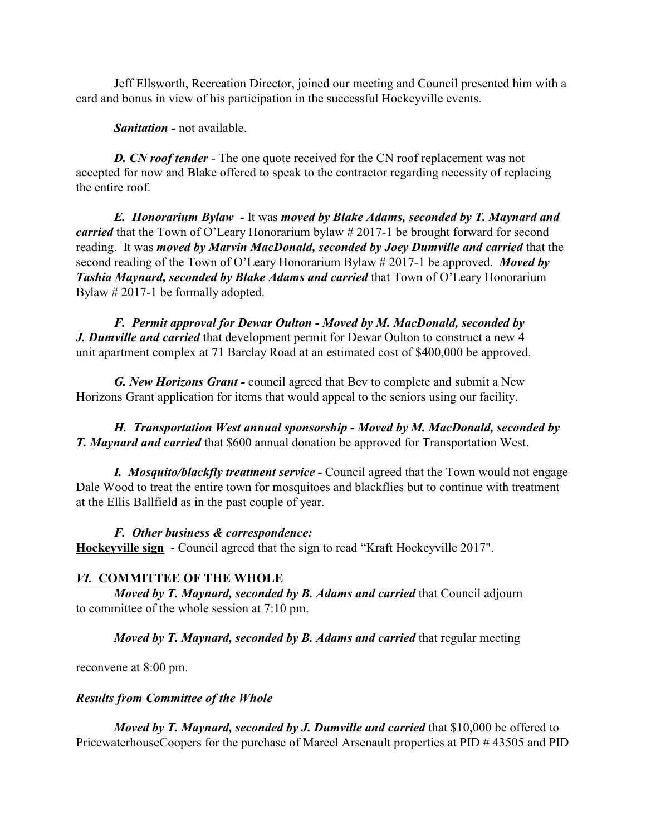Jeff Ellsworth, Recreation Director, joined our meeting and Council presented him with a card and bonus in view of his participation in the successful Hockeyville events.

*Sanitation -* not available.

*D. CN roof tender* - The one quote received for the CN roof replacement was not accepted for now and Blake offered to speak to the contractor regarding necessity of replacing the entire roof.

*E. Honorarium Bylaw -* It was *moved by Blake Adams, seconded by T. Maynard and carried* that the Town of O'Leary Honorarium bylaw # 2017-1 be brought forward for second reading. It was *moved by Marvin MacDonald, seconded by Joey Dumville and carried* that the second reading of the Town of O'Leary Honorarium Bylaw # 2017-1 be approved. *Moved by Tashia Maynard, seconded by Blake Adams and carried* that Town of O'Leary Honorarium Bylaw # 2017-1 be formally adopted.

*F. Permit approval for Dewar Oulton - Moved by M. MacDonald, seconded by J. Dumville and carried* that development permit for Dewar Oulton to construct a new 4 unit apartment complex at 71 Barclay Road at an estimated cost of \$400,000 be approved.

*G. New Horizons Grant -* council agreed that Bev to complete and submit a New Horizons Grant application for items that would appeal to the seniors using our facility.

*H. Transportation West annual sponsorship - Moved by M. MacDonald, seconded by T. Maynard and carried* that \$600 annual donation be approved for Transportation West.

*I. Mosquito/blackfly treatment service -* Council agreed that the Town would not engage Dale Wood to treat the entire town for mosquitoes and blackflies but to continue with treatment at the Ellis Ballfield as in the past couple of year.

## *F. Other business & correspondence:*

**Hockeyville sign** - Council agreed that the sign to read "Kraft Hockeyville 2017".

## *VI.* **COMMITTEE OF THE WHOLE**

*Moved by T. Maynard, seconded by B. Adams and carried* that Council adjourn to committee of the whole session at 7:10 pm.

*Moved by T. Maynard, seconded by B. Adams and carried* that regular meeting

reconvene at 8:00 pm.

#### *Results from Committee of the Whole*

*Moved by T. Maynard, seconded by J. Dumville and carried that \$10,000 be offered to* PricewaterhouseCoopers for the purchase of Marcel Arsenault properties at PID # 43505 and PID